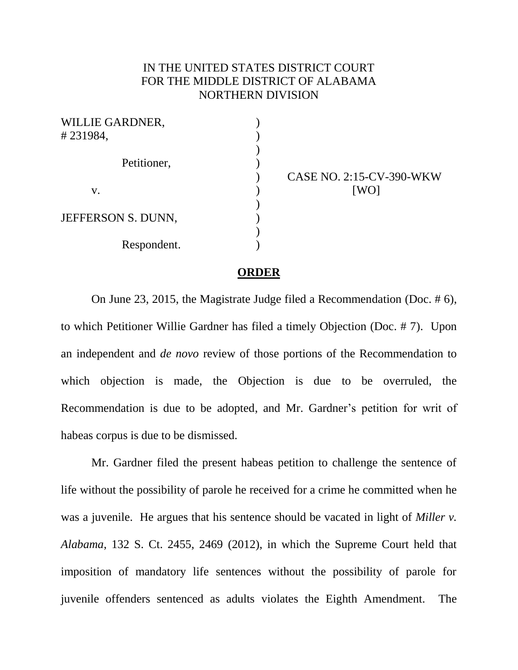## IN THE UNITED STATES DISTRICT COURT FOR THE MIDDLE DISTRICT OF ALABAMA NORTHERN DIVISION

| <b>WILLIE GARDNER,</b> |  |
|------------------------|--|
| #231984,               |  |
|                        |  |
| Petitioner,            |  |
|                        |  |
| V.                     |  |
|                        |  |
| JEFFERSON S. DUNN,     |  |
|                        |  |
| Respondent.            |  |
|                        |  |

CASE NO. 2:15-CV-390-WKW [WO]

## **ORDER**

On June 23, 2015, the Magistrate Judge filed a Recommendation (Doc. # 6), to which Petitioner Willie Gardner has filed a timely Objection (Doc. # 7). Upon an independent and *de novo* review of those portions of the Recommendation to which objection is made, the Objection is due to be overruled, the Recommendation is due to be adopted, and Mr. Gardner's petition for writ of habeas corpus is due to be dismissed.

Mr. Gardner filed the present habeas petition to challenge the sentence of life without the possibility of parole he received for a crime he committed when he was a juvenile. He argues that his sentence should be vacated in light of *Miller v. Alabama*, 132 S. Ct. 2455, 2469 (2012), in which the Supreme Court held that imposition of mandatory life sentences without the possibility of parole for juvenile offenders sentenced as adults violates the Eighth Amendment. The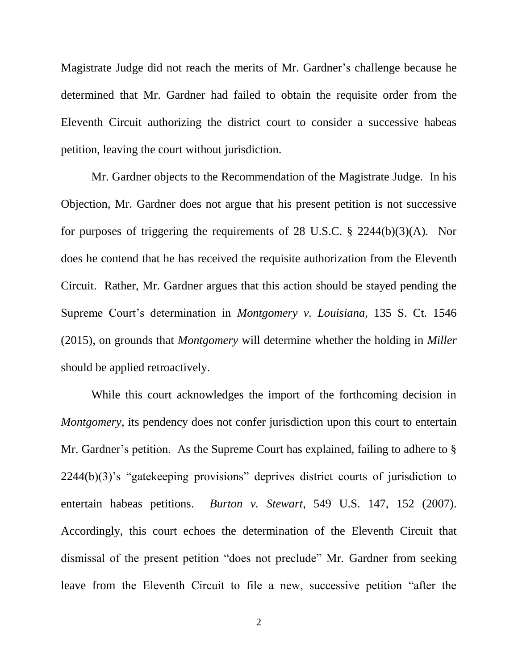Magistrate Judge did not reach the merits of Mr. Gardner's challenge because he determined that Mr. Gardner had failed to obtain the requisite order from the Eleventh Circuit authorizing the district court to consider a successive habeas petition, leaving the court without jurisdiction.

Mr. Gardner objects to the Recommendation of the Magistrate Judge. In his Objection, Mr. Gardner does not argue that his present petition is not successive for purposes of triggering the requirements of 28 U.S.C. § 2244(b)(3)(A). Nor does he contend that he has received the requisite authorization from the Eleventh Circuit. Rather, Mr. Gardner argues that this action should be stayed pending the Supreme Court's determination in *Montgomery v. Louisiana*, 135 S. Ct. 1546 (2015), on grounds that *Montgomery* will determine whether the holding in *Miller* should be applied retroactively.

While this court acknowledges the import of the forthcoming decision in *Montgomery*, its pendency does not confer jurisdiction upon this court to entertain Mr. Gardner's petition. As the Supreme Court has explained, failing to adhere to  $\S$ 2244(b)(3)'s "gatekeeping provisions" deprives district courts of jurisdiction to entertain habeas petitions. *Burton v. Stewart*, 549 U.S. 147, 152 (2007). Accordingly, this court echoes the determination of the Eleventh Circuit that dismissal of the present petition "does not preclude" Mr. Gardner from seeking leave from the Eleventh Circuit to file a new, successive petition "after the